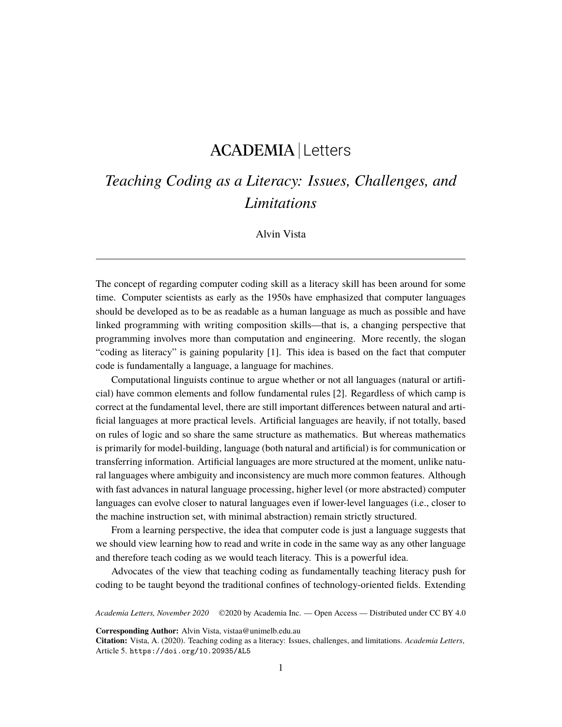# ACADEMIA Letters

## *Teaching Coding as a Literacy: Issues, Challenges, and Limitations*

#### Alvin Vista

The concept of regarding computer coding skill as a literacy skill has been around for some time. Computer scientists as early as the 1950s have emphasized that computer languages should be developed as to be as readable as a human language as much as possible and have linked programming with writing composition skills—that is, a changing perspective that programming involves more than computation and engineering. More recently, the slogan "coding as literacy" is gaining popularity [[1](#page-4-0)]. This idea is based on the fact that computer code is fundamentally a language, a language for machines.

Computational linguists continue to argue whether or not all languages (natural or artificial) have common elements and follow fundamental rules [\[2\]](#page-4-1). Regardless of which camp is correct at the fundamental level, there are still important differences between natural and artificial languages at more practical levels. Artificial languages are heavily, if not totally, based on rules of logic and so share the same structure as mathematics. But whereas mathematics is primarily for model-building, language (both natural and artificial) is for communication or transferring information. Artificial languages are more structured at the moment, unlike natural languages where ambiguity and inconsistency are much more common features. Although with fast advances in natural language processing, higher level (or more abstracted) computer languages can evolve closer to natural languages even if lower-level languages (i.e., closer to the machine instruction set, with minimal abstraction) remain strictly structured.

From a learning perspective, the idea that computer code is just a language suggests that we should view learning how to read and write in code in the same way as any other language and therefore teach coding as we would teach literacy. This is a powerful idea.

Advocates of the view that teaching coding as fundamentally teaching literacy push for coding to be taught beyond the traditional confines of technology-oriented fields. Extending

*Academia Letters, November 2020* ©2020 by Academia Inc. — Open Access — Distributed under CC BY 4.0

**Corresponding Author:** Alvin Vista, vistaa@unimelb.edu.au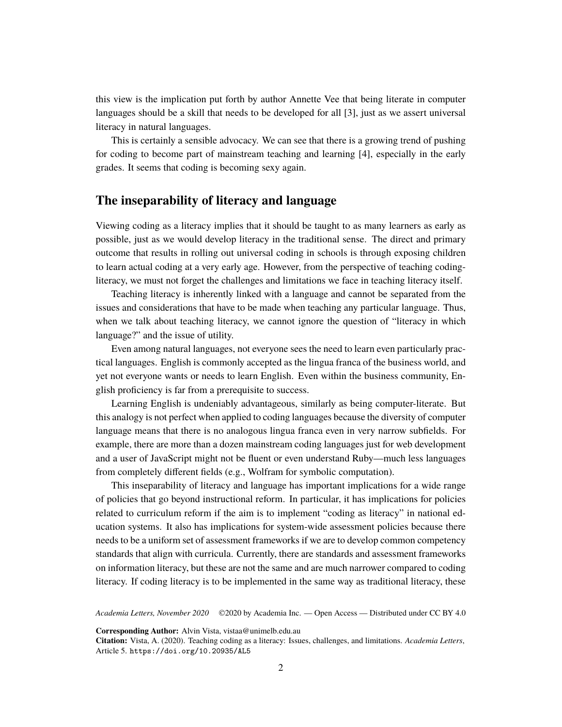this view is the implication put forth by author Annette Vee that being literate in computer languages should be a skill that needs to be developed for all [[3](#page-4-2)], just as we assert universal literacy in natural languages.

This is certainly a sensible advocacy. We can see that there is a growing trend of pushing for coding to become part of mainstream teaching and learning [\[4\]](#page-4-3), especially in the early grades. It seems that coding is becoming sexy again.

### **The inseparability of literacy and language**

Viewing coding as a literacy implies that it should be taught to as many learners as early as possible, just as we would develop literacy in the traditional sense. The direct and primary outcome that results in rolling out universal coding in schools is through exposing children to learn actual coding at a very early age. However, from the perspective of teaching codingliteracy, we must not forget the challenges and limitations we face in teaching literacy itself.

Teaching literacy is inherently linked with a language and cannot be separated from the issues and considerations that have to be made when teaching any particular language. Thus, when we talk about teaching literacy, we cannot ignore the question of "literacy in which language?" and the issue of utility.

Even among natural languages, not everyone sees the need to learn even particularly practical languages. English is commonly accepted as the lingua franca of the business world, and yet not everyone wants or needs to learn English. Even within the business community, English proficiency is far from a prerequisite to success.

Learning English is undeniably advantageous, similarly as being computer-literate. But this analogy is not perfect when applied to coding languages because the diversity of computer language means that there is no analogous lingua franca even in very narrow subfields. For example, there are more than a dozen mainstream coding languages just for web development and a user of JavaScript might not be fluent or even understand Ruby—much less languages from completely different fields (e.g., Wolfram for symbolic computation).

This inseparability of literacy and language has important implications for a wide range of policies that go beyond instructional reform. In particular, it has implications for policies related to curriculum reform if the aim is to implement "coding as literacy" in national education systems. It also has implications for system-wide assessment policies because there needs to be a uniform set of assessment frameworks if we are to develop common competency standards that align with curricula. Currently, there are standards and assessment frameworks on information literacy, but these are not the same and are much narrower compared to coding literacy. If coding literacy is to be implemented in the same way as traditional literacy, these

*Academia Letters, November 2020* ©2020 by Academia Inc. — Open Access — Distributed under CC BY 4.0

**Corresponding Author:** Alvin Vista, vistaa@unimelb.edu.au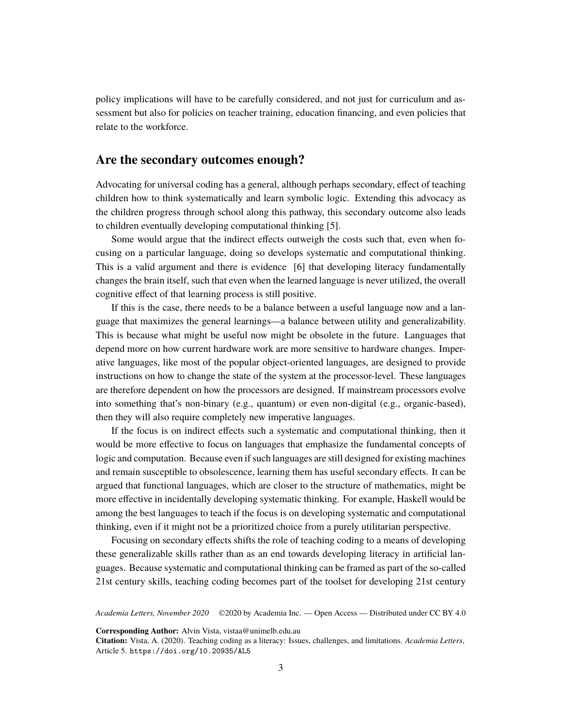policy implications will have to be carefully considered, and not just for curriculum and assessment but also for policies on teacher training, education financing, and even policies that relate to the workforce.

### **Are the secondary outcomes enough?**

Advocating for universal coding has a general, although perhaps secondary, effect of teaching children how to think systematically and learn symbolic logic. Extending this advocacy as the children progress through school along this pathway, this secondary outcome also leads to children eventually developing computational thinking [[5](#page-4-4)].

Some would argue that the indirect effects outweigh the costs such that, even when focusing on a particular language, doing so develops systematic and computational thinking. This is a valid argument and there is evidence [[6](#page-4-5)] that developing literacy fundamentally changes the brain itself, such that even when the learned language is never utilized, the overall cognitive effect of that learning process is still positive.

If this is the case, there needs to be a balance between a useful language now and a language that maximizes the general learnings—a balance between utility and generalizability. This is because what might be useful now might be obsolete in the future. Languages that depend more on how current hardware work are more sensitive to hardware changes. Imperative languages, like most of the popular object-oriented languages, are designed to provide instructions on how to change the state of the system at the processor-level. These languages are therefore dependent on how the processors are designed. If mainstream processors evolve into something that's non-binary (e.g., quantum) or even non-digital (e.g., organic-based), then they will also require completely new imperative languages.

If the focus is on indirect effects such a systematic and computational thinking, then it would be more effective to focus on languages that emphasize the fundamental concepts of logic and computation. Because even if such languages are still designed for existing machines and remain susceptible to obsolescence, learning them has useful secondary effects. It can be argued that functional languages, which are closer to the structure of mathematics, might be more effective in incidentally developing systematic thinking. For example, Haskell would be among the best languages to teach if the focus is on developing systematic and computational thinking, even if it might not be a prioritized choice from a purely utilitarian perspective.

Focusing on secondary effects shifts the role of teaching coding to a means of developing these generalizable skills rather than as an end towards developing literacy in artificial languages. Because systematic and computational thinking can be framed as part of the so-called 21st century skills, teaching coding becomes part of the toolset for developing 21st century

*Academia Letters, November 2020* ©2020 by Academia Inc. — Open Access — Distributed under CC BY 4.0

**Corresponding Author:** Alvin Vista, vistaa@unimelb.edu.au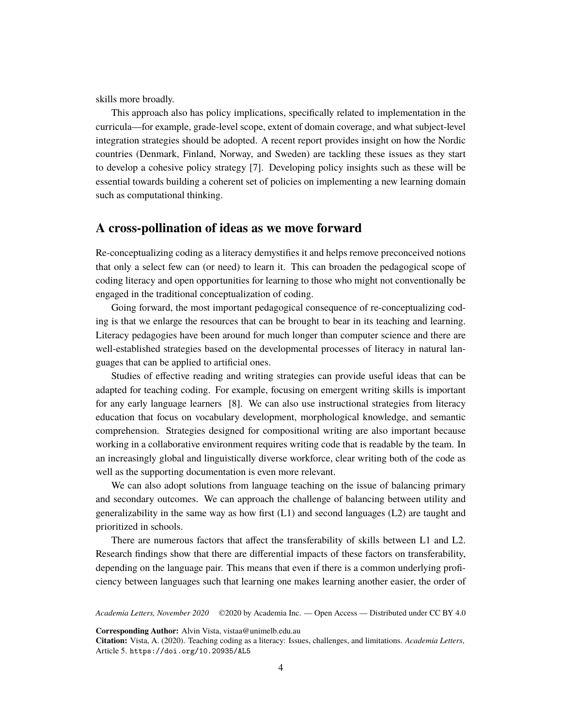skills more broadly.

This approach also has policy implications, specifically related to implementation in the curricula—for example, grade-level scope, extent of domain coverage, and what subject-level integration strategies should be adopted. A recent report provides insight on how the Nordic countries (Denmark, Finland, Norway, and Sweden) are tackling these issues as they start to develop a cohesive policy strategy [[7\]](#page-4-6). Developing policy insights such as these will be essential towards building a coherent set of policies on implementing a new learning domain such as computational thinking.

#### **A cross-pollination of ideas as we move forward**

Re-conceptualizing coding as a literacy demystifies it and helps remove preconceived notions that only a select few can (or need) to learn it. This can broaden the pedagogical scope of coding literacy and open opportunities for learning to those who might not conventionally be engaged in the traditional conceptualization of coding.

Going forward, the most important pedagogical consequence of re-conceptualizing coding is that we enlarge the resources that can be brought to bear in its teaching and learning. Literacy pedagogies have been around for much longer than computer science and there are well-established strategies based on the developmental processes of literacy in natural languages that can be applied to artificial ones.

Studies of effective reading and writing strategies can provide useful ideas that can be adapted for teaching coding. For example, focusing on emergent writing skills is important for any early language learners [[8](#page-5-0)]. We can also use instructional strategies from literacy education that focus on vocabulary development, morphological knowledge, and semantic comprehension. Strategies designed for compositional writing are also important because working in a collaborative environment requires writing code that is readable by the team. In an increasingly global and linguistically diverse workforce, clear writing both of the code as well as the supporting documentation is even more relevant.

We can also adopt solutions from language teaching on the issue of balancing primary and secondary outcomes. We can approach the challenge of balancing between utility and generalizability in the same way as how first (L1) and second languages (L2) are taught and prioritized in schools.

There are numerous factors that affect the transferability of skills between L1 and L2. Research findings show that there are differential impacts of these factors on transferability, depending on the language pair. This means that even if there is a common underlying proficiency between languages such that learning one makes learning another easier, the order of

*Academia Letters, November 2020* ©2020 by Academia Inc. — Open Access — Distributed under CC BY 4.0

**Corresponding Author:** Alvin Vista, vistaa@unimelb.edu.au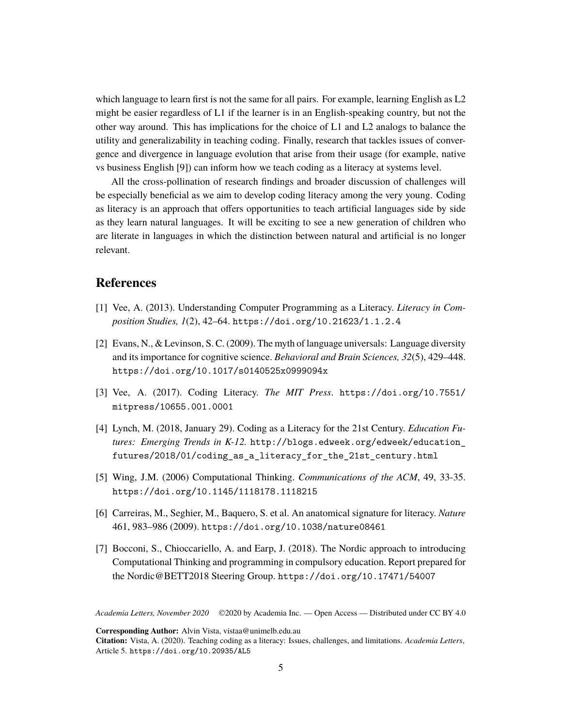which language to learn first is not the same for all pairs. For example, learning English as L2 might be easier regardless of L1 if the learner is in an English-speaking country, but not the other way around. This has implications for the choice of L1 and L2 analogs to balance the utility and generalizability in teaching coding. Finally, research that tackles issues of convergence and divergence in language evolution that arise from their usage (for example, native vs business English [[9](#page-5-1)]) can inform how we teach coding as a literacy at systems level.

All the cross-pollination of research findings and broader discussion of challenges will be especially beneficial as we aim to develop coding literacy among the very young. Coding as literacy is an approach that offers opportunities to teach artificial languages side by side as they learn natural languages. It will be exciting to see a new generation of children who are literate in languages in which the distinction between natural and artificial is no longer relevant.

## **References**

- <span id="page-4-0"></span>[1] Vee, A. (2013). Understanding Computer Programming as a Literacy. *Literacy in Composition Studies, 1*(2), 42–64. <https://doi.org/10.21623/1.1.2.4>
- <span id="page-4-1"></span>[2] Evans, N., & Levinson, S. C. (2009). The myth of language universals: Language diversity and its importance for cognitive science. *Behavioral and Brain Sciences, 32*(5), 429–448. <https://doi.org/10.1017/s0140525x0999094x>
- <span id="page-4-2"></span>[3] Vee, A. (2017). Coding Literacy. *The MIT Press*. [https://doi.org/10.7551/](https://doi.org/10.7551/mitpress/10655.001.0001) [mitpress/10655.001.0001](https://doi.org/10.7551/mitpress/10655.001.0001)
- <span id="page-4-3"></span>[4] Lynch, M. (2018, January 29). Coding as a Literacy for the 21st Century. *Education Futures: Emerging Trends in K-12.* [http://blogs.edweek.org/edweek/education\\_](http://blogs.edweek.org/edweek/education_futures/2018/01/coding_as_a_literacy_for_the_21st_century.html) [futures/2018/01/coding\\_as\\_a\\_literacy\\_for\\_the\\_21st\\_century.html](http://blogs.edweek.org/edweek/education_futures/2018/01/coding_as_a_literacy_for_the_21st_century.html)
- <span id="page-4-4"></span>[5] Wing, J.M. (2006) Computational Thinking. *Communications of the ACM*, 49, 33-35. <https://doi.org/10.1145/1118178.1118215>
- <span id="page-4-5"></span>[6] Carreiras, M., Seghier, M., Baquero, S. et al. An anatomical signature for literacy. *Nature* 461, 983–986 (2009). <https://doi.org/10.1038/nature08461>
- <span id="page-4-6"></span>[7] Bocconi, S., Chioccariello, A. and Earp, J. (2018). The Nordic approach to introducing Computational Thinking and programming in compulsory education. Report prepared for the Nordic@BETT2018 Steering Group. <https://doi.org/10.17471/54007>

*Academia Letters, November 2020* ©2020 by Academia Inc. — Open Access — Distributed under CC BY 4.0

**Corresponding Author:** Alvin Vista, vistaa@unimelb.edu.au